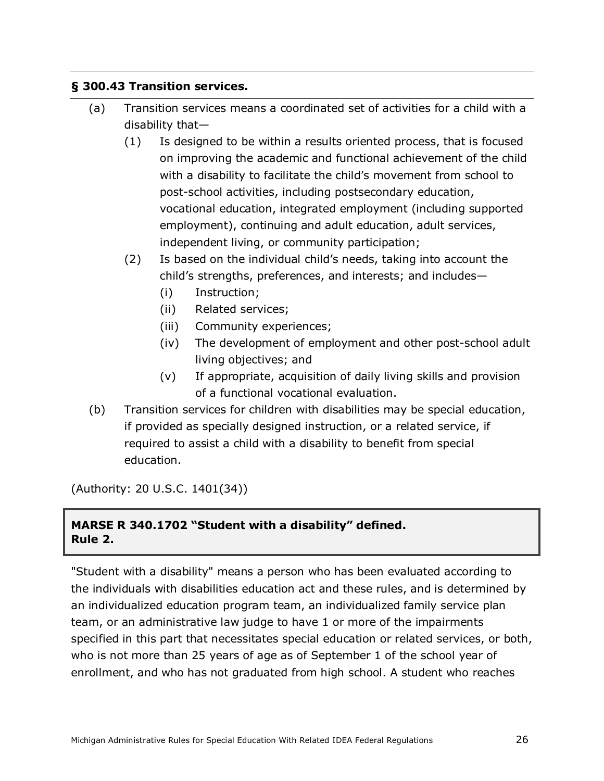## **§ 300.43 Transition services.**

- (a) Transition services means a coordinated set of activities for a child with a disability that—
	- (1) Is designed to be within a results oriented process, that is focused on improving the academic and functional achievement of the child with a disability to facilitate the child's movement from school to post-school activities, including postsecondary education, vocational education, integrated employment (including supported employment), continuing and adult education, adult services, independent living, or community participation;
	- (2) Is based on the individual child's needs, taking into account the child's strengths, preferences, and interests; and includes—
		- (i) Instruction;
		- (ii) Related services;
		- (iii) Community experiences;
		- (iv) The development of employment and other post-school adult living objectives; and
		- (v) If appropriate, acquisition of daily living skills and provision of a functional vocational evaluation.
- (b) Transition services for children with disabilities may be special education, if provided as specially designed instruction, or a related service, if required to assist a child with a disability to benefit from special education.

(Authority: 20 U.S.C. 1401(34))

## **MARSE R 340.1702 "Student with a disability" defined. Rule 2.**

"Student with a disability" means a person who has been evaluated according to the individuals with disabilities education act and these rules, and is determined by an individualized education program team, an individualized family service plan team, or an administrative law judge to have 1 or more of the impairments specified in this part that necessitates special education or related services, or both, who is not more than 25 years of age as of September 1 of the school year of enrollment, and who has not graduated from high school. A student who reaches